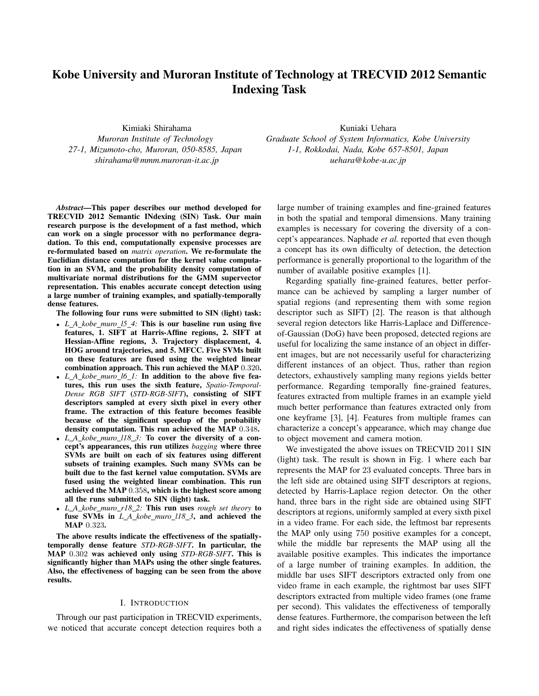# Kobe University and Muroran Institute of Technology at TRECVID 2012 Semantic Indexing Task

Kimiaki Shirahama *Muroran Institute of Technology 27-1, Mizumoto-cho, Muroran, 050-8585, Japan shirahama@mmm.muroran-it.ac.jp*

*Abstract*—This paper describes our method developed for TRECVID 2012 Semantic INdexing (SIN) Task. Our main research purpose is the development of a fast method, which can work on a single processor with no performance degradation. To this end, computationally expensive processes are re-formulated based on *matrix operation*. We re-formulate the Euclidian distance computation for the kernel value computation in an SVM, and the probability density computation of multivariate normal distributions for the GMM supervector representation. This enables accurate concept detection using a large number of training examples, and spatially-temporally dense features.

The following four runs were submitted to SIN (light) task:

- *• L A kobe muro l5 4:* This is our baseline run using five features, 1. SIFT at Harris-Affine regions, 2. SIFT at Hessian-Affine regions, 3. Trajectory displacement, 4. HOG around trajectories, and 5. MFCC. Five SVMs built on these features are fused using the weighted linear combination approach. This run achieved the MAP 0*.*320.
- *• L A kobe muro l6 1:* In addition to the above five features, this run uses the sixth feature, *Spatio-Temporal-Dense RGB SIFT* (*STD-RGB-SIFT*), consisting of SIFT descriptors sampled at every sixth pixel in every other frame. The extraction of this feature becomes feasible because of the significant speedup of the probability density computation. This run achieved the MAP 0*.*348.
- *• L A kobe muro l18 3:* To cover the diversity of a concept's appearances, this run utilizes *bagging* where three SVMs are built on each of six features using different subsets of training examples. Such many SVMs can be built due to the fast kernel value computation. SVMs are fused using the weighted linear combination. This run achieved the MAP 0*.*358, which is the highest score among all the runs submitted to SIN (light) task.
- *• L A kobe muro r18 2:* This run uses *rough set theory* to fuse SVMs in *L A kobe muro l18 3*, and achieved the MAP 0*.*323.

The above results indicate the effectiveness of the spatiallytemporally dense feature *STD-RGB-SIFT*. In particular, the MAP 0*.*302 was achieved only using *STD-RGB-SIFT*. This is significantly higher than MAPs using the other single features. Also, the effectiveness of bagging can be seen from the above results.

#### I. INTRODUCTION

Through our past participation in TRECVID experiments, we noticed that accurate concept detection requires both a

Kuniaki Uehara *Graduate School of System Informatics, Kobe University 1-1, Rokkodai, Nada, Kobe 657-8501, Japan uehara@kobe-u.ac.jp*

large number of training examples and fine-grained features in both the spatial and temporal dimensions. Many training examples is necessary for covering the diversity of a concept's appearances. Naphade *et al.* reported that even though a concept has its own difficulty of detection, the detection performance is generally proportional to the logarithm of the number of available positive examples [1].

Regarding spatially fine-grained features, better performance can be achieved by sampling a larger number of spatial regions (and representing them with some region descriptor such as SIFT) [2]. The reason is that although several region detectors like Harris-Laplace and Differenceof-Gaussian (DoG) have been proposed, detected regions are useful for localizing the same instance of an object in different images, but are not necessarily useful for characterizing different instances of an object. Thus, rather than region detectors, exhaustively sampling many regions yields better performance. Regarding temporally fine-grained features, features extracted from multiple frames in an example yield much better performance than features extracted only from one keyframe [3], [4]. Features from multiple frames can characterize a concept's appearance, which may change due to object movement and camera motion.

We investigated the above issues on TRECVID 2011 SIN (light) task. The result is shown in Fig. 1 where each bar represents the MAP for 23 evaluated concepts. Three bars in the left side are obtained using SIFT descriptors at regions, detected by Harris-Laplace region detector. On the other hand, three bars in the right side are obtained using SIFT descriptors at regions, uniformly sampled at every sixth pixel in a video frame. For each side, the leftmost bar represents the MAP only using 750 positive examples for a concept, while the middle bar represents the MAP using all the available positive examples. This indicates the importance of a large number of training examples. In addition, the middle bar uses SIFT descriptors extracted only from one video frame in each example, the rightmost bar uses SIFT descriptors extracted from multiple video frames (one frame per second). This validates the effectiveness of temporally dense features. Furthermore, the comparison between the left and right sides indicates the effectiveness of spatially dense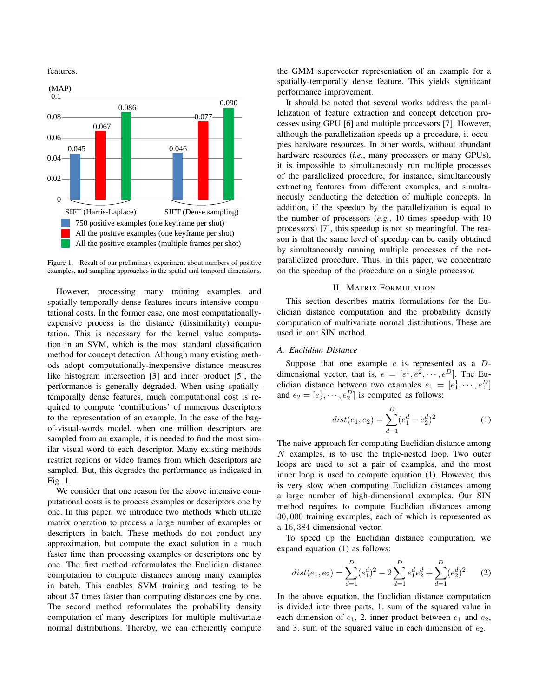features.



Figure 1. Result of our preliminary experiment about numbers of positive examples, and sampling approaches in the spatial and temporal dimensions.

However, processing many training examples and spatially-temporally dense features incurs intensive computational costs. In the former case, one most computationallyexpensive process is the distance (dissimilarity) computation. This is necessary for the kernel value computation in an SVM, which is the most standard classification method for concept detection. Although many existing methods adopt computationally-inexpensive distance measures like histogram intersection [3] and inner product [5], the performance is generally degraded. When using spatiallytemporally dense features, much computational cost is required to compute 'contributions' of numerous descriptors to the representation of an example. In the case of the bagof-visual-words model, when one million descriptors are sampled from an example, it is needed to find the most similar visual word to each descriptor. Many existing methods restrict regions or video frames from which descriptors are sampled. But, this degrades the performance as indicated in Fig. 1.

We consider that one reason for the above intensive computational costs is to process examples or descriptors one by one. In this paper, we introduce two methods which utilize matrix operation to process a large number of examples or descriptors in batch. These methods do not conduct any approximation, but compute the exact solution in a much faster time than processing examples or descriptors one by one. The first method reformulates the Euclidian distance computation to compute distances among many examples in batch. This enables SVM training and testing to be about 37 times faster than computing distances one by one. The second method reformulates the probability density computation of many descriptors for multiple multivariate normal distributions. Thereby, we can efficiently compute the GMM supervector representation of an example for a spatially-temporally dense feature. This yields significant performance improvement.

It should be noted that several works address the parallelization of feature extraction and concept detection processes using GPU [6] and multiple processors [7]. However, although the parallelization speeds up a procedure, it occupies hardware resources. In other words, without abundant hardware resources (*i.e.*, many processors or many GPUs), it is impossible to simultaneously run multiple processes of the parallelized procedure, for instance, simultaneously extracting features from different examples, and simultaneously conducting the detection of multiple concepts. In addition, if the speedup by the parallelization is equal to the number of processors (*e.g.*, 10 times speedup with 10 processors) [7], this speedup is not so meaningful. The reason is that the same level of speedup can be easily obtained by simultaneously running multiple processes of the notparallelized procedure. Thus, in this paper, we concentrate on the speedup of the procedure on a single processor.

## II. MATRIX FORMULATION

This section describes matrix formulations for the Euclidian distance computation and the probability density computation of multivariate normal distributions. These are used in our SIN method.

# *A. Euclidian Distance*

Suppose that one example *e* is represented as a *D*dimensional vector, that is,  $e = [e^1, e^2, \dots, e^D]$ . The Euclidian distance between two examples  $e_1 = [e_1^1, \dots, e_1^D]$ and  $e_2 = [e_2^1, \dots, e_2^D]$  is computed as follows:

$$
dist(e_1, e_2) = \sum_{d=1}^{D} (e_1^d - e_2^d)^2
$$
 (1)

The naive approach for computing Euclidian distance among *N* examples, is to use the triple-nested loop. Two outer loops are used to set a pair of examples, and the most inner loop is used to compute equation (1). However, this is very slow when computing Euclidian distances among a large number of high-dimensional examples. Our SIN method requires to compute Euclidian distances among 30*,* 000 training examples, each of which is represented as a 16*,* 384-dimensional vector.

To speed up the Euclidian distance computation, we expand equation (1) as follows:

$$
dist(e_1, e_2) = \sum_{d=1}^{D} (e_1^d)^2 - 2\sum_{d=1}^{D} e_1^d e_2^d + \sum_{d=1}^{D} (e_2^d)^2 \tag{2}
$$

In the above equation, the Euclidian distance computation is divided into three parts, 1. sum of the squared value in each dimension of  $e_1$ , 2. inner product between  $e_1$  and  $e_2$ , and 3. sum of the squared value in each dimension of  $e_2$ .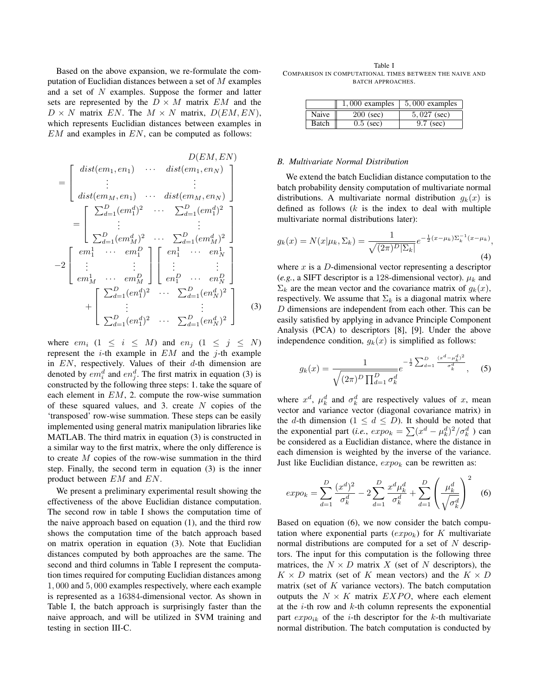Based on the above expansion, we re-formulate the computation of Euclidian distances between a set of *M* examples and a set of *N* examples. Suppose the former and latter sets are represented by the  $D \times M$  matrix  $EM$  and the  $D \times N$  matrix *EN*. The  $M \times N$  matrix,  $D(EM, EN)$ , which represents Euclidian distances between examples in *EM* and examples in *EN*, can be computed as follows:

$$
D(EM, EN)
$$
\n
$$
= \begin{bmatrix}\ndist(em_1, en_1) & \cdots & dist(em_1, en_N) \\
\vdots & & & \vdots \\
dist(em_M, en_1) & \cdots & dist(em_M, en_N) \\
\vdots & & & \vdots \\
\sum_{d=1}^{D} (em_1^d)^2 & \cdots & \sum_{d=1}^{D} (em_1^d)^2 \\
\vdots & & & \vdots \\
\sum_{d=1}^{D} (em_M^d)^2 & \cdots & \sum_{d=1}^{D} (em_M^d)^2\n\end{bmatrix}
$$
\n
$$
-2 \begin{bmatrix}\nem_1^1 & \cdots & em_1^D \\
\vdots & & \vdots \\
em_M^1 & \cdots & em_M^D\n\end{bmatrix}\n\begin{bmatrix}\nen_1^1 & \cdots & en_N^1 \\
\vdots & & \vdots \\
en_1^D & \cdots & en_N^D\n\end{bmatrix}
$$
\n
$$
+ \begin{bmatrix}\n\sum_{d=1}^{D} (en_1^d)^2 & \cdots & \sum_{d=1}^{D} (en_M^d)^2 \\
\vdots & & \vdots \\
\sum_{d=1}^{D} (en_1^d)^2 & \cdots & \sum_{d=1}^{D} (en_N^d)^2\n\end{bmatrix}
$$
\n(3)

where  $em_i$   $(1 \leq i \leq M)$  and  $en_j$   $(1 \leq j \leq N)$ represent the *i*-th example in *EM* and the *j*-th example in *EN*, respectively. Values of their *d*-th dimension are denoted by  $em_i^d$  and  $en_j^d$ . The first matrix in equation (3) is constructed by the following three steps: 1. take the square of each element in *EM*, 2. compute the row-wise summation of these squared values, and 3. create *N* copies of the 'transposed' row-wise summation. These steps can be easily implemented using general matrix manipulation libraries like MATLAB. The third matrix in equation (3) is constructed in a similar way to the first matrix, where the only difference is to create *M* copies of the row-wise summation in the third step. Finally, the second term in equation (3) is the inner product between *EM* and *EN*.

We present a preliminary experimental result showing the effectiveness of the above Euclidian distance computation. The second row in table I shows the computation time of the naive approach based on equation (1), and the third row shows the computation time of the batch approach based on matrix operation in equation (3). Note that Euclidian distances computed by both approaches are the same. The second and third columns in Table I represent the computation times required for computing Euclidian distances among 1*,* 000 and 5*,* 000 examples respectively, where each example is represented as a 16384-dimensional vector. As shown in Table I, the batch approach is surprisingly faster than the naive approach, and will be utilized in SVM training and testing in section III-C.

Table I COMPARISON IN COMPUTATIONAL TIMES BETWEEN THE NAIVE AND BATCH APPROACHES.

|       | $1,000$ examples | $5,000$ examples |
|-------|------------------|------------------|
| Naive | $200$ (sec)      | $5,027$ (sec)    |
| Batch | $0.5$ (sec)      | $9.7$ (sec)      |

#### *B. Multivariate Normal Distribution*

We extend the batch Euclidian distance computation to the batch probability density computation of multivariate normal distributions. A multivariate normal distribution  $g_k(x)$  is defined as follows (*k* is the index to deal with multiple multivariate normal distributions later):

$$
g_k(x) = N(x|\mu_k, \Sigma_k) = \frac{1}{\sqrt{(2\pi)^D |\Sigma_k|}} e^{-\frac{1}{2}(x - \mu_k) \Sigma_k^{-1} (x - \mu_k)},
$$
\n(4)

where *x* is a *D*-dimensional vector representing a descriptor (*e.g.*, a SIFT descriptor is a 128-dimensional vector).  $\mu_k$  and  $\Sigma_k$  are the mean vector and the covariance matrix of  $g_k(x)$ , respectively. We assume that  $\Sigma_k$  is a diagonal matrix where *D* dimensions are independent from each other. This can be easily satisfied by applying in advance Principle Component Analysis (PCA) to descriptors [8], [9]. Under the above independence condition,  $g_k(x)$  is simplified as follows:

$$
g_k(x) = \frac{1}{\sqrt{(2\pi)^D \prod_{d=1}^D \sigma_k^d}} e^{-\frac{1}{2} \sum_{d=1}^D \frac{(x^d - \mu_k^d)^2}{\sigma_k^d}}, \quad (5)
$$

where  $x^d$ ,  $\mu_k^d$  and  $\sigma_k^d$  are respectively values of *x*, mean vector and variance vector (diagonal covariance matrix) in the *d*-th dimension  $(1 \leq d \leq D)$ . It should be noted that the exponential part (*i.e.*,  $expo_k = \sum (x^d - \mu_k^d)^2 / \sigma_k^d$ ) can be considered as a Euclidian distance, where the distance in each dimension is weighted by the inverse of the variance. Just like Euclidian distance, *expo<sup>k</sup>* can be rewritten as:

$$
expo_k = \sum_{d=1}^{D} \frac{(x^d)^2}{\sigma_k^d} - 2\sum_{d=1}^{D} \frac{x^d \mu_k^d}{\sigma_k^d} + \sum_{d=1}^{D} \left(\frac{\mu_k^d}{\sqrt{\sigma_k^d}}\right)^2 \quad (6)
$$

Based on equation (6), we now consider the batch computation where exponential parts (*expok*) for *K* multivariate normal distributions are computed for a set of *N* descriptors. The input for this computation is the following three matrices, the  $N \times D$  matrix  $X$  (set of  $N$  descriptors), the  $K \times D$  matrix (set of *K* mean vectors) and the  $K \times D$ matrix (set of *K* variance vectors). The batch computation outputs the  $N \times K$  matrix *EXPO*, where each element at the *i*-th row and *k*-th column represents the exponential part  $expo_{ik}$  of the *i*-th descriptor for the *k*-th multivariate normal distribution. The batch computation is conducted by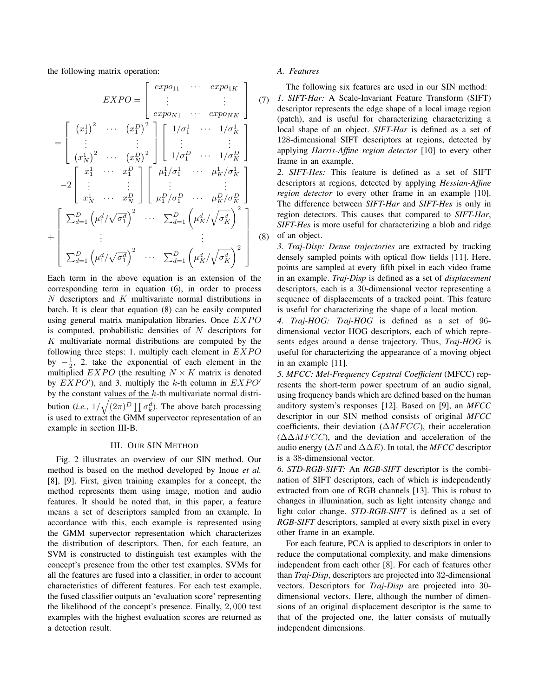the following matrix operation:

$$
EXPO = \begin{bmatrix} exp_{011} & \cdots & exp_{01K} \\ \vdots & & \vdots \\ exp_{0N1} & \cdots & exp_{0NK} \end{bmatrix} \quad (7)
$$

$$
= \begin{bmatrix} (x_1^1)^2 & \cdots & (x_1^D)^2 \\ \vdots & & \vdots \\ (x_N^1)^2 & \cdots & (x_N^D)^2 \end{bmatrix} \begin{bmatrix} 1/\sigma_1^1 & \cdots & 1/\sigma_K^1 \\ \vdots & & \vdots \\ 1/\sigma_1^D & \cdots & 1/\sigma_K^D \end{bmatrix}
$$

$$
-2 \begin{bmatrix} x_1^1 & \cdots & x_1^D \\ \vdots & & \vdots \\ x_N^1 & \cdots & x_N^D \end{bmatrix} \begin{bmatrix} \mu_1^1/\sigma_1^1 & \cdots & \mu_K^1/\sigma_K^1 \\ \vdots & & \vdots \\ \mu_1^D/\sigma_1^D & \cdots & \mu_K^D/\sigma_K^D \end{bmatrix}
$$

$$
+ \begin{bmatrix} \sum_{d=1}^D (\mu_1^d/\sqrt{\sigma_1^d})^2 & \cdots & \sum_{d=1}^D (\mu_K^d/\sqrt{\sigma_K^d})^2 \\ \vdots & & \vdots \\ \sum_{d=1}^D (\mu_1^d/\sqrt{\sigma_1^d})^2 & \cdots & \sum_{d=1}^D (\mu_K^d/\sqrt{\sigma_K^d})^2 \end{bmatrix} \quad (8)
$$

Each term in the above equation is an extension of the corresponding term in equation (6), in order to process *N* descriptors and *K* multivariate normal distributions in batch. It is clear that equation (8) can be easily computed using general matrix manipulation libraries. Once *EXPO* is computed, probabilistic densities of *N* descriptors for *K* multivariate normal distributions are computed by the following three steps: 1. multiply each element in *EXPO* by  $-\frac{1}{2}$ , 2. take the exponential of each element in the multiplied  $EXPO$  (the resulting  $N \times K$  matrix is denoted by  $EXPO'$ , and 3. multiply the *k*-th column in  $EXPO'$ by the constant values of the *k*-th multivariate normal distribution (*i.e.*,  $1/\sqrt{(2\pi)^D \prod \sigma_k^d}$ ). The above batch processing is used to extract the GMM supervector representation of an example in section III-B.

#### III. OUR SIN METHOD

Fig. 2 illustrates an overview of our SIN method. Our method is based on the method developed by Inoue *et al.* [8], [9]. First, given training examples for a concept, the method represents them using image, motion and audio features. It should be noted that, in this paper, a feature means a set of descriptors sampled from an example. In accordance with this, each example is represented using the GMM supervector representation which characterizes the distribution of descriptors. Then, for each feature, an SVM is constructed to distinguish test examples with the concept's presence from the other test examples. SVMs for all the features are fused into a classifier, in order to account characteristics of different features. For each test example, the fused classifier outputs an 'evaluation score' representing the likelihood of the concept's presence. Finally, 2*,* 000 test examples with the highest evaluation scores are returned as a detection result.

## *A. Features*

The following six features are used in our SIN method:

*1. SIFT-Har:* A Scale-Invariant Feature Transform (SIFT) descriptor represents the edge shape of a local image region (patch), and is useful for characterizing characterizing a local shape of an object. *SIFT-Har* is defined as a set of 128-dimensional SIFT descriptors at regions, detected by applying *Harris-Affine region detector* [10] to every other frame in an example.

*2. SIFT-Hes:* This feature is defined as a set of SIFT descriptors at regions, detected by applying *Hessian-Affine region detector* to every other frame in an example [10]. The difference between *SIFT-Har* and *SIFT-Hes* is only in region detectors. This causes that compared to *SIFT-Har*, *SIFT-Hes* is more useful for characterizing a blob and ridge of an object.

*3. Traj-Disp: Dense trajectories* are extracted by tracking densely sampled points with optical flow fields [11]. Here, points are sampled at every fifth pixel in each video frame in an example. *Traj-Disp* is defined as a set of *displacement* descriptors, each is a 30-dimensional vector representing a sequence of displacements of a tracked point. This feature is useful for characterizing the shape of a local motion.

*4. Traj-HOG: Traj-HOG* is defined as a set of 96 dimensional vector HOG descriptors, each of which represents edges around a dense trajectory. Thus, *Traj-HOG* is useful for characterizing the appearance of a moving object in an example [11].

*5. MFCC: Mel-Frequency Cepstral Coefficient* (MFCC) represents the short-term power spectrum of an audio signal, using frequency bands which are defined based on the human auditory system's responses [12]. Based on [9], an *MFCC* descriptor in our SIN method consists of original *MFCC* coefficients, their deviation ( $\Delta MFCC$ ), their acceleration  $(\Delta \Delta M FCC)$ , and the deviation and acceleration of the audio energy (∆*E* and ∆∆*E*). In total, the *MFCC* descriptor is a 38-dimensional vector.

*6. STD-RGB-SIFT:* An *RGB-SIFT* descriptor is the combination of SIFT descriptors, each of which is independently extracted from one of RGB channels [13]. This is robust to changes in illumination, such as light intensity change and light color change. *STD-RGB-SIFT* is defined as a set of *RGB-SIFT* descriptors, sampled at every sixth pixel in every other frame in an example.

For each feature, PCA is applied to descriptors in order to reduce the computational complexity, and make dimensions independent from each other [8]. For each of features other than *Traj-Disp*, descriptors are projected into 32-dimensional vectors. Descriptors for *Traj-Disp* are projected into 30 dimensional vectors. Here, although the number of dimensions of an original displacement descriptor is the same to that of the projected one, the latter consists of mutually independent dimensions.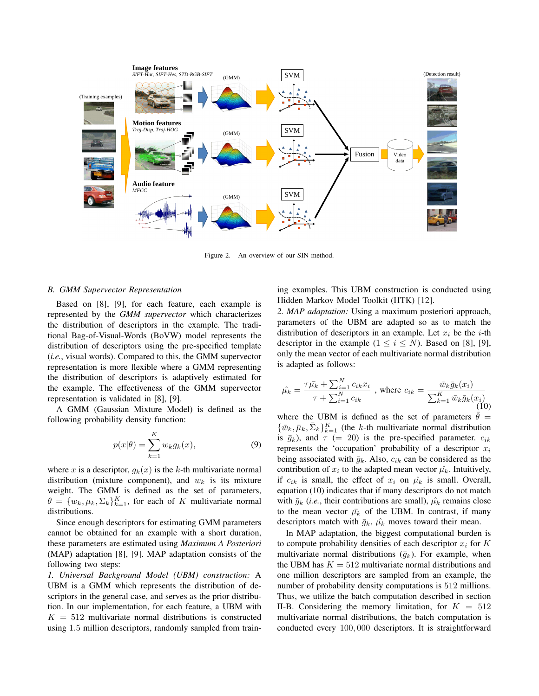

Figure 2. An overview of our SIN method.

## *B. GMM Supervector Representation*

Based on [8], [9], for each feature, each example is represented by the *GMM supervector* which characterizes the distribution of descriptors in the example. The traditional Bag-of-Visual-Words (BoVW) model represents the distribution of descriptors using the pre-specified template (*i.e.*, visual words). Compared to this, the GMM supervector representation is more flexible where a GMM representing the distribution of descriptors is adaptively estimated for the example. The effectiveness of the GMM supervector representation is validated in [8], [9].

A GMM (Gaussian Mixture Model) is defined as the following probability density function:

$$
p(x|\theta) = \sum_{k=1}^{K} w_k g_k(x),
$$
\n(9)

where *x* is a descriptor,  $g_k(x)$  is the *k*-th multivariate normal distribution (mixture component), and  $w_k$  is its mixture weight. The GMM is defined as the set of parameters,  $\theta = \{w_k, \mu_k, \Sigma_k\}_{k=1}^K$ , for each of *K* multivariate normal distributions.

Since enough descriptors for estimating GMM parameters cannot be obtained for an example with a short duration, these parameters are estimated using *Maximum A Posteriori* (MAP) adaptation [8], [9]. MAP adaptation consists of the following two steps:

*1. Universal Background Model (UBM) construction:* A UBM is a GMM which represents the distribution of descriptors in the general case, and serves as the prior distribution. In our implementation, for each feature, a UBM with  $K = 512$  multivariate normal distributions is constructed using 1*.*5 million descriptors, randomly sampled from training examples. This UBM construction is conducted using Hidden Markov Model Toolkit (HTK) [12].

*2. MAP adaptation:* Using a maximum posteriori approach, parameters of the UBM are adapted so as to match the distribution of descriptors in an example. Let  $x_i$  be the *i*-th descriptor in the example  $(1 \le i \le N)$ . Based on [8], [9], only the mean vector of each multivariate normal distribution is adapted as follows:

$$
\hat{\mu_k} = \frac{\tau \bar{\mu_k} + \sum_{i=1}^{N} c_{ik} x_i}{\tau + \sum_{i=1}^{N} c_{ik}} \text{ , where } c_{ik} = \frac{\bar{w}_k \bar{g}_k(x_i)}{\sum_{k=1}^{K} \bar{w}_k \bar{g}_k(x_i)} \tag{10}
$$

where the UBM is defined as the set of parameters  $\bar{\theta}$  =  ${\{\bar{w}_k, \bar{\mu}_k, \bar{\Sigma}_k\}}_{k=1}^K$  (the *k*-th multivariate normal distribution is  $\bar{g}_k$ ), and  $\tau$  (= 20) is the pre-specified parameter.  $c_{ik}$ represents the 'occupation' probability of a descriptor *x<sup>i</sup>* being associated with  $\bar{g}_k$ . Also,  $c_{ik}$  can be considered as the contribution of  $x_i$  to the adapted mean vector  $\hat{\mu_k}$ . Intuitively, if  $c_{ik}$  is small, the effect of  $x_i$  on  $\hat{\mu_k}$  is small. Overall, equation (10) indicates that if many descriptors do not match with  $\bar{g}_k$  (*i.e.*, their contributions are small),  $\hat{\mu_k}$  remains close to the mean vector  $\bar{\mu_k}$  of the UBM. In contrast, if many descriptors match with  $\bar{g}_k$ ,  $\hat{\mu_k}$  moves toward their mean.

In MAP adaptation, the biggest computational burden is to compute probability densities of each descriptor *x<sup>i</sup>* for *K* multivariate normal distributions  $(\bar{g}_k)$ . For example, when the UBM has  $K = 512$  multivariate normal distributions and one million descriptors are sampled from an example, the number of probability density computations is 512 millions. Thus, we utilize the batch computation described in section II-B. Considering the memory limitation, for  $K = 512$ multivariate normal distributions, the batch computation is conducted every 100*,* 000 descriptors. It is straightforward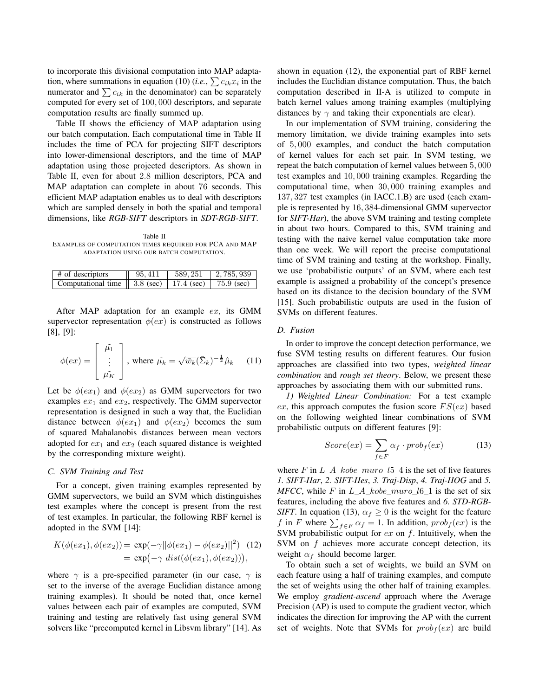to incorporate this divisional computation into MAP adaptation, where summations in equation (10) (*i.e.*,  $\sum c_{ik}x_i$  in the numerator and  $\sum c_{ik}$  in the denominator) can be separately computed for every set of 100*,* 000 descriptors, and separate computation results are finally summed up.

Table II shows the efficiency of MAP adaptation using our batch computation. Each computational time in Table II includes the time of PCA for projecting SIFT descriptors into lower-dimensional descriptors, and the time of MAP adaptation using those projected descriptors. As shown in Table II, even for about 2*.*8 million descriptors, PCA and MAP adaptation can complete in about 76 seconds. This efficient MAP adaptation enables us to deal with descriptors which are sampled densely in both the spatial and temporal dimensions, like *RGB-SIFT* descriptors in *SDT-RGB-SIFT*.

Table II EXAMPLES OF COMPUTATION TIMES REQUIRED FOR PCA AND MAP ADAPTATION USING OUR BATCH COMPUTATION.

| $\#$ of descriptors                                                                    | 95,411 | 1, 589, 251 | $2,785,939$ |
|----------------------------------------------------------------------------------------|--------|-------------|-------------|
| Computational time $\parallel$ 3.8 (sec) $\parallel$ 17.4 (sec) $\parallel$ 75.9 (sec) |        |             |             |

After MAP adaptation for an example *ex*, its GMM supervector representation  $\phi(ex)$  is constructed as follows [8], [9]:

$$
\phi(ex) = \begin{bmatrix} \tilde{\mu_1} \\ \vdots \\ \tilde{\mu_K} \end{bmatrix}, \text{ where } \tilde{\mu_k} = \sqrt{\bar{w}_k} (\bar{\Sigma}_k)^{-\frac{1}{2}} \hat{\mu}_k \quad (11)
$$

Let be  $\phi(ex_1)$  and  $\phi(ex_2)$  as GMM supervectors for two examples  $ex_1$  and  $ex_2$ , respectively. The GMM supervector representation is designed in such a way that, the Euclidian distance between  $\phi(ex_1)$  and  $\phi(ex_2)$  becomes the sum of squared Mahalanobis distances between mean vectors adopted for *ex*<sup>1</sup> and *ex*<sup>2</sup> (each squared distance is weighted by the corresponding mixture weight).

## *C. SVM Training and Test*

For a concept, given training examples represented by GMM supervectors, we build an SVM which distinguishes test examples where the concept is present from the rest of test examples. In particular, the following RBF kernel is adopted in the SVM [14]:

$$
K(\phi(ex_1), \phi(ex_2)) = \exp(-\gamma ||\phi(ex_1) - \phi(ex_2)||^2)
$$
 (12)  
=  $\exp(-\gamma \text{ dist}(\phi(ex_1), \phi(ex_2))),$ 

where  $\gamma$  is a pre-specified parameter (in our case,  $\gamma$  is set to the inverse of the average Euclidian distance among training examples). It should be noted that, once kernel values between each pair of examples are computed, SVM training and testing are relatively fast using general SVM solvers like "precomputed kernel in Libsvm library" [14]. As shown in equation (12), the exponential part of RBF kernel includes the Euclidian distance computation. Thus, the batch computation described in II-A is utilized to compute in batch kernel values among training examples (multiplying distances by  $\gamma$  and taking their exponentials are clear).

In our implementation of SVM training, considering the memory limitation, we divide training examples into sets of 5*,* 000 examples, and conduct the batch computation of kernel values for each set pair. In SVM testing, we repeat the batch computation of kernel values between 5*,* 000 test examples and 10*,* 000 training examples. Regarding the computational time, when 30*,* 000 training examples and 137*,* 327 test examples (in IACC.1.B) are used (each example is represented by 16*,* 384-dimensional GMM supervector for *SIFT-Har*), the above SVM training and testing complete in about two hours. Compared to this, SVM training and testing with the naive kernel value computation take more than one week. We will report the precise computational time of SVM training and testing at the workshop. Finally, we use 'probabilistic outputs' of an SVM, where each test example is assigned a probability of the concept's presence based on its distance to the decision boundary of the SVM [15]. Such probabilistic outputs are used in the fusion of SVMs on different features.

#### *D. Fusion*

In order to improve the concept detection performance, we fuse SVM testing results on different features. Our fusion approaches are classified into two types, *weighted linear combination* and *rough set theory*. Below, we present these approaches by associating them with our submitted runs.

*1) Weighted Linear Combination:* For a test example  $ex$ , this approach computes the fusion score  $FS(ex)$  based on the following weighted linear combinations of SVM probabilistic outputs on different features [9]:

$$
Score(ex) = \sum_{f \in F} \alpha_f \cdot prob_f(ex) \tag{13}
$$

where  $F$  in  $L_A_kobe_muro_l15_4$  is the set of five features *1. SIFT-Har*, *2. SIFT-Hes*, *3. Traj-Disp*, *4. Traj-HOG* and *5. MFCC*, while *F* in  $L_A_k$  *kobe\_muro\_l*<sub>6</sub> $\pm$ 1 is the set of six features, including the above five features and *6. STD-RGB-SIFT*. In equation (13),  $\alpha_f \geq 0$  is the weight for the feature *f* in *F* where  $\sum_{f \in F} \alpha_f = 1$ . In addition,  $prob_f(ex)$  is the SVM probabilistic output for *ex* on *f*. Intuitively, when the SVM on *f* achieves more accurate concept detection, its weight  $\alpha_f$  should become larger.

To obtain such a set of weights, we build an SVM on each feature using a half of training examples, and compute the set of weights using the other half of training examples. We employ *gradient-ascend* approach where the Average Precision (AP) is used to compute the gradient vector, which indicates the direction for improving the AP with the current set of weights. Note that SVMs for  $prob_f(ex)$  are build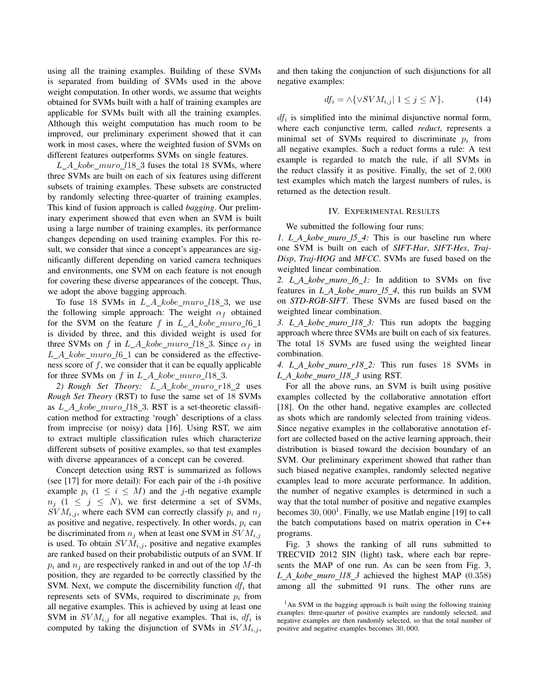using all the training examples. Building of these SVMs is separated from building of SVMs used in the above weight computation. In other words, we assume that weights obtained for SVMs built with a half of training examples are applicable for SVMs built with all the training examples. Although this weight computation has much room to be improved, our preliminary experiment showed that it can work in most cases, where the weighted fusion of SVMs on different features outperforms SVMs on single features.

*L A kobe muro l*18 3 fuses the total 18 SVMs, where three SVMs are built on each of six features using different subsets of training examples. These subsets are constructed by randomly selecting three-quarter of training examples. This kind of fusion approach is called *bagging*. Our preliminary experiment showed that even when an SVM is built using a large number of training examples, its performance changes depending on used training examples. For this result, we consider that since a concept's appearances are significantly different depending on varied camera techniques and environments, one SVM on each feature is not enough for covering these diverse appearances of the concept. Thus, we adopt the above bagging approach.

To fuse 18 SVMs in *L A kobe muro l*18 3, we use the following simple approach: The weight  $\alpha_f$  obtained for the SVM on the feature  $f$  in  $L_A\_kobe\_muro\_l6_1$ is divided by three, and this divided weight is used for three SVMs on *f* in *L\_A\_kobe\_muro\_l*18\_3. Since  $\alpha_f$  in *L A kobe muro l*6 1 can be considered as the effectiveness score of *f*, we consider that it can be equally applicable for three SVMs on  $f$  in  $L_A\_kobe\_muro_l18_3$ .

*2) Rough Set Theory: L A kobe muro r*18 2 uses *Rough Set Theory* (RST) to fuse the same set of 18 SVMs as *L A kobe muro l*18 3. RST is a set-theoretic classification method for extracting 'rough' descriptions of a class from imprecise (or noisy) data [16]. Using RST, we aim to extract multiple classification rules which characterize different subsets of positive examples, so that test examples with diverse appearances of a concept can be covered.

Concept detection using RST is summarized as follows (see [17] for more detail): For each pair of the *i*-th positive example  $p_i$  ( $1 \leq i \leq M$ ) and the *j*-th negative example  $n_j$  (1  $\leq j \leq N$ ), we first determine a set of SVMs,  $SVM_{i,j}$ , where each SVM can correctly classify  $p_i$  and  $n_j$ as positive and negative, respectively. In other words,  $p_i$  can be discriminated from  $n_i$  when at least one SVM in  $SVM_{i,j}$ is used. To obtain  $SVM_{i,j}$ , positive and negative examples are ranked based on their probabilistic outputs of an SVM. If  $p_i$  and  $n_j$  are respectively ranked in and out of the top *M*-th position, they are regarded to be correctly classified by the SVM. Next, we compute the discernibility function  $df_i$  that represents sets of SVMs, required to discriminate  $p_i$  from all negative examples. This is achieved by using at least one SVM in  $SVM_{i,j}$  for all negative examples. That is,  $df_i$  is computed by taking the disjunction of SVMs in  $SVM_{i,j}$ , and then taking the conjunction of such disjunctions for all negative examples:

$$
df_i = \land \{ \lor SVM_{i,j} | 1 \le j \le N \},\tag{14}
$$

*df<sup>i</sup>* is simplified into the minimal disjunctive normal form, where each conjunctive term, called *reduct*, represents a minimal set of SVMs required to discriminate  $p_i$  from all negative examples. Such a reduct forms a rule: A test example is regarded to match the rule, if all SVMs in the reduct classify it as positive. Finally, the set of 2*,* 000 test examples which match the largest numbers of rules, is returned as the detection result.

#### IV. EXPERIMENTAL RESULTS

We submitted the following four runs:

*1. L A kobe muro l5 4:* This is our baseline run where one SVM is built on each of *SIFT-Har*, *SIFT-Hes*, *Traj-Disp*, *Traj-HOG* and *MFCC*. SVMs are fused based on the weighted linear combination.

*2. L A kobe muro l6 1:* In addition to SVMs on five features in *L A kobe muro l5 4*, this run builds an SVM on *STD-RGB-SIFT*. These SVMs are fused based on the weighted linear combination.

*3. L A kobe muro l18 3:* This run adopts the bagging approach where three SVMs are built on each of six features. The total 18 SVMs are fused using the weighted linear combination.

*4. L A kobe muro r18 2:* This run fuses 18 SVMs in *L A kobe muro l18 3* using RST.

For all the above runs, an SVM is built using positive examples collected by the collaborative annotation effort [18]. On the other hand, negative examples are collected as shots which are randomly selected from training videos. Since negative examples in the collaborative annotation effort are collected based on the active learning approach, their distribution is biased toward the decision boundary of an SVM. Our preliminary experiment showed that rather than such biased negative examples, randomly selected negative examples lead to more accurate performance. In addition, the number of negative examples is determined in such a way that the total number of positive and negative examples becomes 30, 000<sup>1</sup>. Finally, we use Matlab engine [19] to call the batch computations based on matrix operation in C++ programs.

Fig. 3 shows the ranking of all runs submitted to TRECVID 2012 SIN (light) task, where each bar represents the MAP of one run. As can be seen from Fig. 3, *L A kobe muro l18 3* achieved the highest MAP (0*.*358) among all the submitted 91 runs. The other runs are

<sup>&</sup>lt;sup>1</sup>An SVM in the bagging approach is built using the following training examples: three-quarter of positive examples are randomly selected, and negative examples are then randomly selected, so that the total number of positive and negative examples becomes 30*,* 000.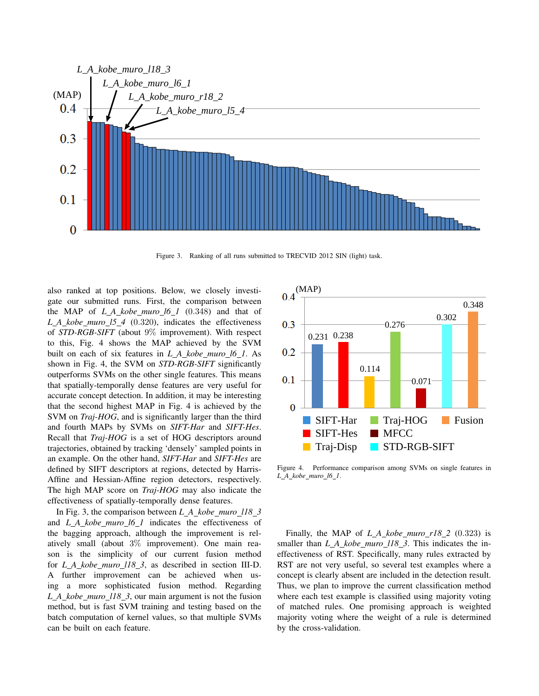

Figure 3. Ranking of all runs submitted to TRECVID 2012 SIN (light) task.

also ranked at top positions. Below, we closely investigate our submitted runs. First, the comparison between the MAP of *L A kobe muro l6 1* (0*.*348) and that of *L A kobe muro l5 4* (0*.*320), indicates the effectiveness of *STD-RGB-SIFT* (about 9% improvement). With respect to this, Fig. 4 shows the MAP achieved by the SVM built on each of six features in *L A kobe muro l6 1*. As shown in Fig. 4, the SVM on *STD-RGB-SIFT* significantly outperforms SVMs on the other single features. This means that spatially-temporally dense features are very useful for accurate concept detection. In addition, it may be interesting that the second highest MAP in Fig. 4 is achieved by the SVM on *Traj-HOG*, and is significantly larger than the third and fourth MAPs by SVMs on *SIFT-Har* and *SIFT-Hes*. Recall that *Traj-HOG* is a set of HOG descriptors around trajectories, obtained by tracking 'densely' sampled points in an example. On the other hand, *SIFT-Har* and *SIFT-Hes* are defined by SIFT descriptors at regions, detected by Harris-Affine and Hessian-Affine region detectors, respectively. The high MAP score on *Traj-HOG* may also indicate the effectiveness of spatially-temporally dense features.

In Fig. 3, the comparison between *L A kobe muro l18 3* and *L A kobe muro l6 1* indicates the effectiveness of the bagging approach, although the improvement is relatively small (about 3% improvement). One main reason is the simplicity of our current fusion method for *L A kobe muro l18 3*, as described in section III-D. A further improvement can be achieved when using a more sophisticated fusion method. Regarding *L A kobe muro l18 3*, our main argument is not the fusion method, but is fast SVM training and testing based on the batch computation of kernel values, so that multiple SVMs can be built on each feature.



Figure 4. Performance comparison among SVMs on single features in *L A kobe muro l6 1*.

Finally, the MAP of *L A kobe muro r18 2* (0*.*323) is smaller than *L\_A\_kobe\_muro\_l18\_3*. This indicates the ineffectiveness of RST. Specifically, many rules extracted by RST are not very useful, so several test examples where a concept is clearly absent are included in the detection result. Thus, we plan to improve the current classification method where each test example is classified using majority voting of matched rules. One promising approach is weighted majority voting where the weight of a rule is determined by the cross-validation.